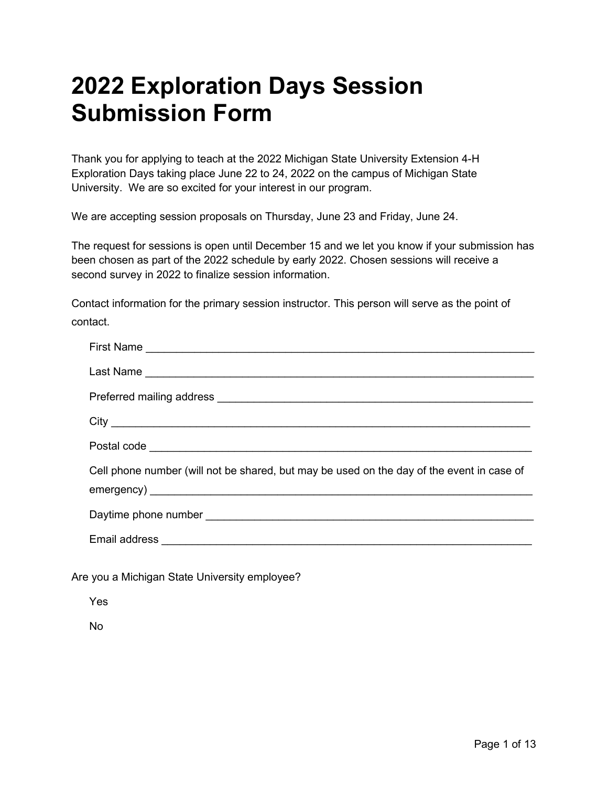# **2022 Exploration Days Session Submission Form**

Thank you for applying to teach at the 2022 Michigan State University Extension 4-H Exploration Days taking place June 22 to 24, 2022 on the campus of Michigan State University. We are so excited for your interest in our program.

We are accepting session proposals on Thursday, June 23 and Friday, June 24.

The request for sessions is open until December 15 and we let you know if your submission has been chosen as part of the 2022 schedule by early 2022. Chosen sessions will receive a second survey in 2022 to finalize session information.

Contact information for the primary session instructor. This person will serve as the point of contact.

| Cell phone number (will not be shared, but may be used on the day of the event in case of |
|-------------------------------------------------------------------------------------------|
|                                                                                           |
|                                                                                           |
|                                                                                           |

Are you a Michigan State University employee?

Yes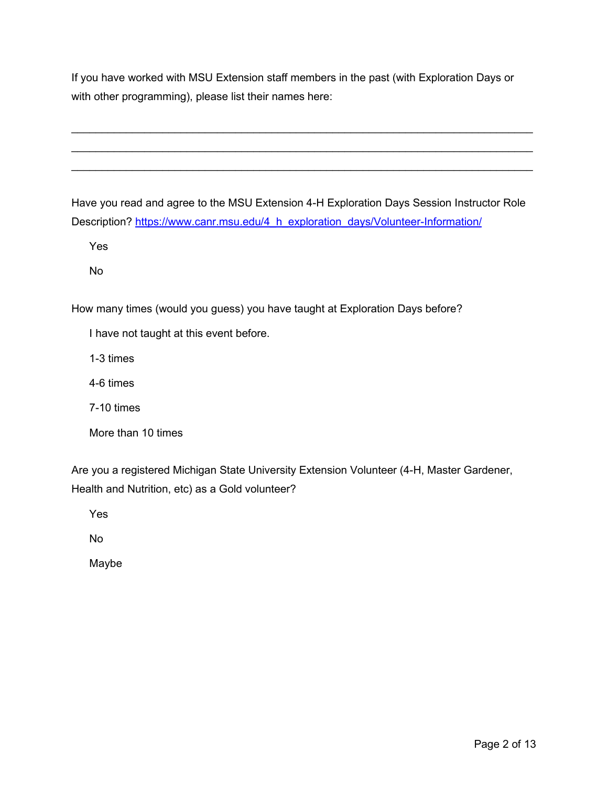If you have worked with MSU Extension staff members in the past (with Exploration Days or with other programming), please list their names here:

 $\mathcal{L}_\text{max}$  , and the contribution of the contribution of the contribution of the contribution of the contribution of the contribution of the contribution of the contribution of the contribution of the contribution of t \_\_\_\_\_\_\_\_\_\_\_\_\_\_\_\_\_\_\_\_\_\_\_\_\_\_\_\_\_\_\_\_\_\_\_\_\_\_\_\_\_\_\_\_\_\_\_\_\_\_\_\_\_\_\_\_\_\_\_\_\_\_\_\_\_\_\_\_\_\_\_\_\_\_\_\_  $\mathcal{L}_\text{max}$  , and the contribution of the contribution of the contribution of the contribution of the contribution of the contribution of the contribution of the contribution of the contribution of the contribution of t

Have you read and agree to the MSU Extension 4-H Exploration Days Session Instructor Role Description? [https://www.canr.msu.edu/4\\_h\\_exploration\\_days/Volunteer-Information/](https://www.canr.msu.edu/4_h_exploration_days/Volunteer-Information/)

Yes

No

How many times (would you guess) you have taught at Exploration Days before?

I have not taught at this event before.

1-3 times

4-6 times

7-10 times

More than 10 times

Are you a registered Michigan State University Extension Volunteer (4-H, Master Gardener, Health and Nutrition, etc) as a Gold volunteer?

Yes

No

Maybe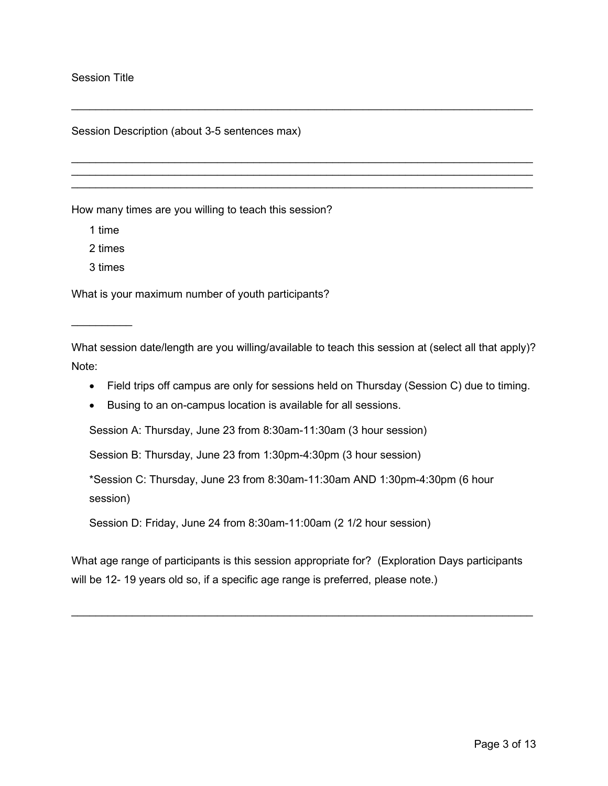### Session Title

Session Description (about 3-5 sentences max)

How many times are you willing to teach this session?

1 time

2 times

3 times

 $\overline{\phantom{a}}$  , where  $\overline{\phantom{a}}$ 

What is your maximum number of youth participants?

What session date/length are you willing/available to teach this session at (select all that apply)? Note:

\_\_\_\_\_\_\_\_\_\_\_\_\_\_\_\_\_\_\_\_\_\_\_\_\_\_\_\_\_\_\_\_\_\_\_\_\_\_\_\_\_\_\_\_\_\_\_\_\_\_\_\_\_\_\_\_\_\_\_\_\_\_\_\_\_\_\_\_\_\_\_\_\_\_\_\_

 $\mathcal{L}_\text{max}$  , and the contribution of the contribution of the contribution of the contribution of the contribution of the contribution of the contribution of the contribution of the contribution of the contribution of t \_\_\_\_\_\_\_\_\_\_\_\_\_\_\_\_\_\_\_\_\_\_\_\_\_\_\_\_\_\_\_\_\_\_\_\_\_\_\_\_\_\_\_\_\_\_\_\_\_\_\_\_\_\_\_\_\_\_\_\_\_\_\_\_\_\_\_\_\_\_\_\_\_\_\_\_ \_\_\_\_\_\_\_\_\_\_\_\_\_\_\_\_\_\_\_\_\_\_\_\_\_\_\_\_\_\_\_\_\_\_\_\_\_\_\_\_\_\_\_\_\_\_\_\_\_\_\_\_\_\_\_\_\_\_\_\_\_\_\_\_\_\_\_\_\_\_\_\_\_\_\_\_

- Field trips off campus are only for sessions held on Thursday (Session C) due to timing.
- Busing to an on-campus location is available for all sessions.

Session A: Thursday, June 23 from 8:30am-11:30am (3 hour session)

Session B: Thursday, June 23 from 1:30pm-4:30pm (3 hour session)

\*Session C: Thursday, June 23 from 8:30am-11:30am AND 1:30pm-4:30pm (6 hour session)

Session D: Friday, June 24 from 8:30am-11:00am (2 1/2 hour session)

What age range of participants is this session appropriate for? (Exploration Days participants will be 12- 19 years old so, if a specific age range is preferred, please note.)

 $\mathcal{L}_\text{max}$  , and the set of the set of the set of the set of the set of the set of the set of the set of the set of the set of the set of the set of the set of the set of the set of the set of the set of the set of the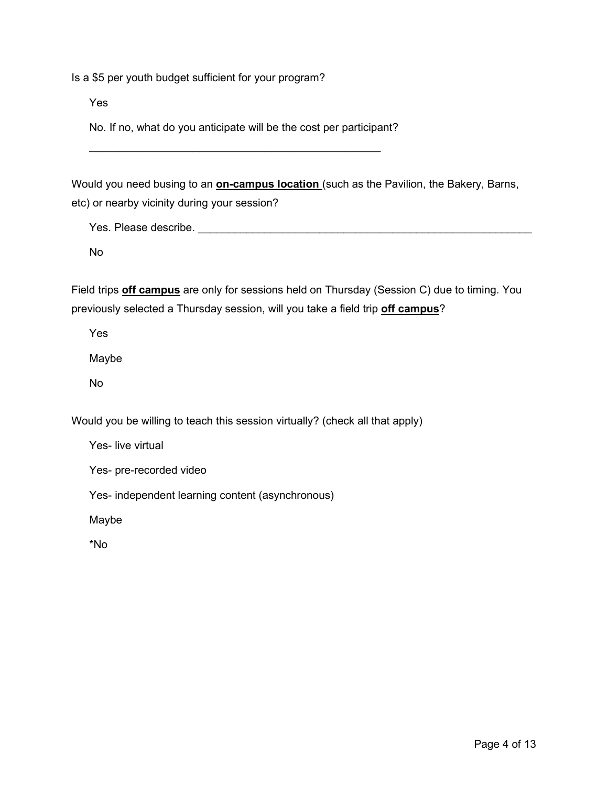Is a \$5 per youth budget sufficient for your program?

Yes

No. If no, what do you anticipate will be the cost per participant?

\_\_\_\_\_\_\_\_\_\_\_\_\_\_\_\_\_\_\_\_\_\_\_\_\_\_\_\_\_\_\_\_\_\_\_\_\_\_\_\_\_\_\_\_\_\_\_\_

Would you need busing to an **on-campus location** (such as the Pavilion, the Bakery, Barns, etc) or nearby vicinity during your session?

Yes. Please describe. **Example 20** and  $\alpha$ 

No

Field trips **off campus** are only for sessions held on Thursday (Session C) due to timing. You previously selected a Thursday session, will you take a field trip **off campus**?

Yes

Maybe

No

Would you be willing to teach this session virtually? (check all that apply)

Yes- live virtual

Yes- pre-recorded video

Yes- independent learning content (asynchronous)

Maybe

\*No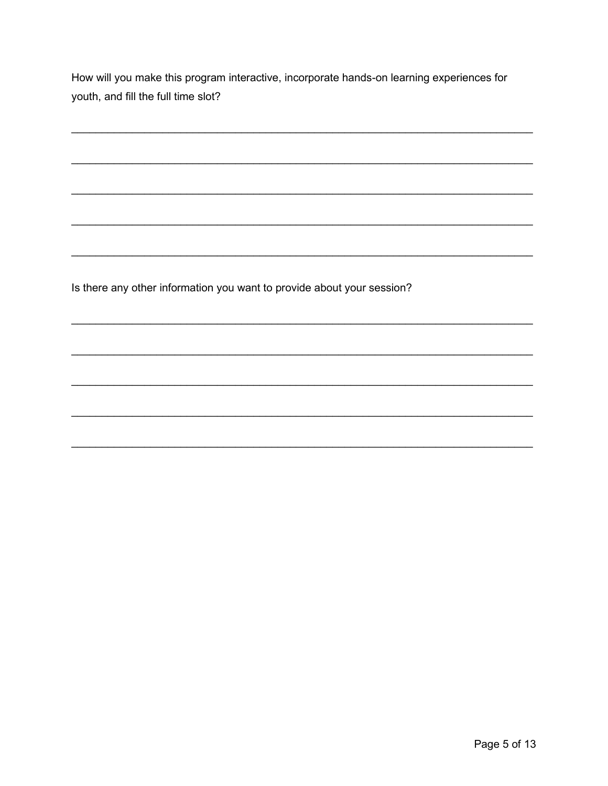How will you make this program interactive, incorporate hands-on learning experiences for youth, and fill the full time slot?

Is there any other information you want to provide about your session?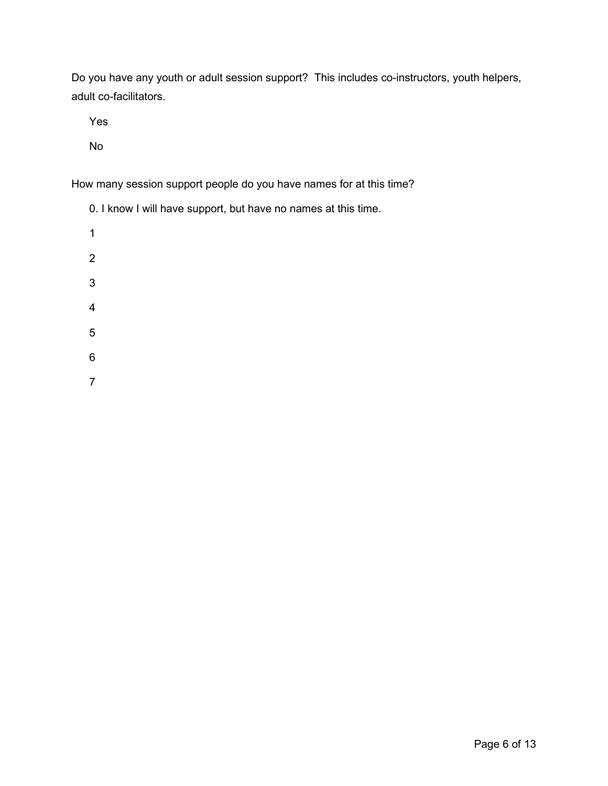Do you have any youth or adult session support? This includes co-instructors, youth helpers, adult co-facilitators.

Yes

No

How many session support people do you have names for at this time?

| 0. I know I will have support, but have no names at this time. |
|----------------------------------------------------------------|
| 1                                                              |
| 2                                                              |
| 3                                                              |
| 4                                                              |
| 5                                                              |
| հ                                                              |

7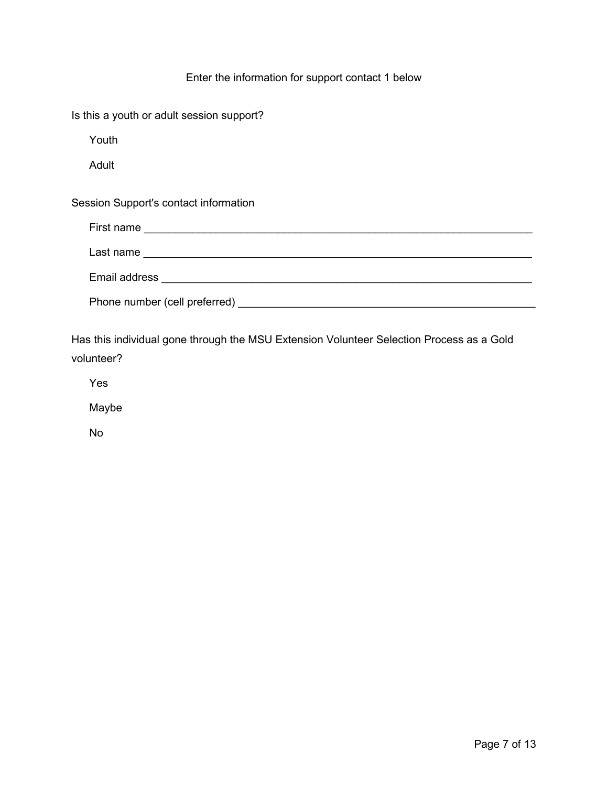## Enter the information for support contact 1 below

| Is this a youth or adult session support? |  |
|-------------------------------------------|--|
| Youth                                     |  |
| Adult                                     |  |
| Session Support's contact information     |  |
| First name                                |  |
|                                           |  |
|                                           |  |
| Phone number (cell preferred) _________   |  |

Has this individual gone through the MSU Extension Volunteer Selection Process as a Gold volunteer?

Yes

Maybe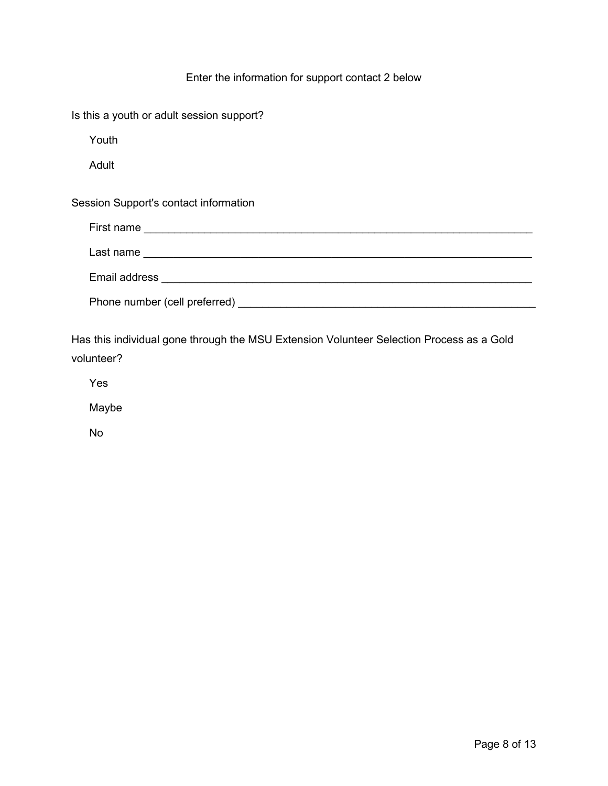## Enter the information for support contact 2 below

| Is this a youth or adult session support? |  |
|-------------------------------------------|--|
| Youth                                     |  |
| Adult                                     |  |
| Session Support's contact information     |  |
|                                           |  |
|                                           |  |
|                                           |  |
|                                           |  |

Has this individual gone through the MSU Extension Volunteer Selection Process as a Gold volunteer?

Yes

Maybe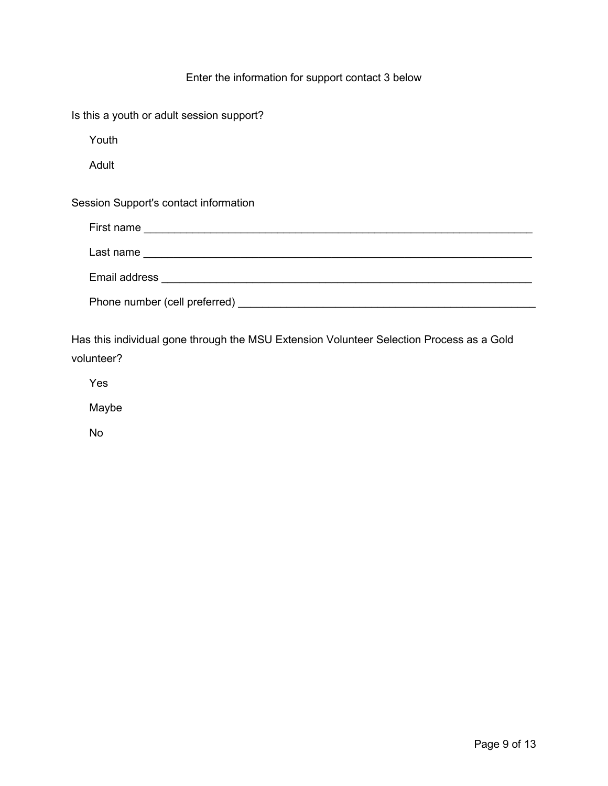## Enter the information for support contact 3 below

| Is this a youth or adult session support? |  |
|-------------------------------------------|--|
| Youth                                     |  |
| Adult                                     |  |
| Session Support's contact information     |  |
|                                           |  |
|                                           |  |
|                                           |  |
|                                           |  |

Has this individual gone through the MSU Extension Volunteer Selection Process as a Gold volunteer?

Yes

Maybe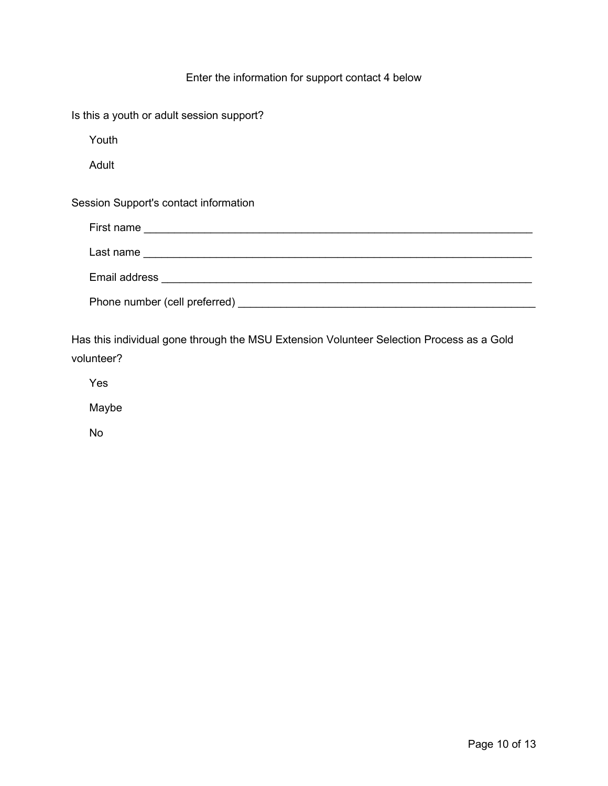## Enter the information for support contact 4 below

| Is this a youth or adult session support?                                                                                                                                                                                          |  |
|------------------------------------------------------------------------------------------------------------------------------------------------------------------------------------------------------------------------------------|--|
| Youth                                                                                                                                                                                                                              |  |
| Adult                                                                                                                                                                                                                              |  |
| Session Support's contact information                                                                                                                                                                                              |  |
|                                                                                                                                                                                                                                    |  |
| Last name <u>experience</u> and the set of the set of the set of the set of the set of the set of the set of the set of the set of the set of the set of the set of the set of the set of the set of the set of the set of the set |  |
|                                                                                                                                                                                                                                    |  |
|                                                                                                                                                                                                                                    |  |

Has this individual gone through the MSU Extension Volunteer Selection Process as a Gold volunteer?

Yes

Maybe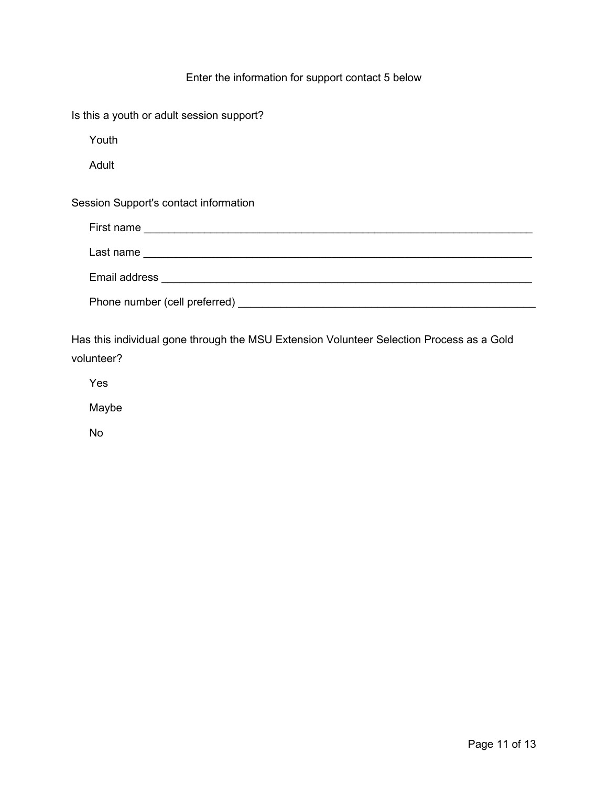## Enter the information for support contact 5 below

| Is this a youth or adult session support? |  |
|-------------------------------------------|--|
| Youth                                     |  |
| Adult                                     |  |
| Session Support's contact information     |  |
|                                           |  |
|                                           |  |
|                                           |  |
|                                           |  |

Has this individual gone through the MSU Extension Volunteer Selection Process as a Gold volunteer?

Yes

Maybe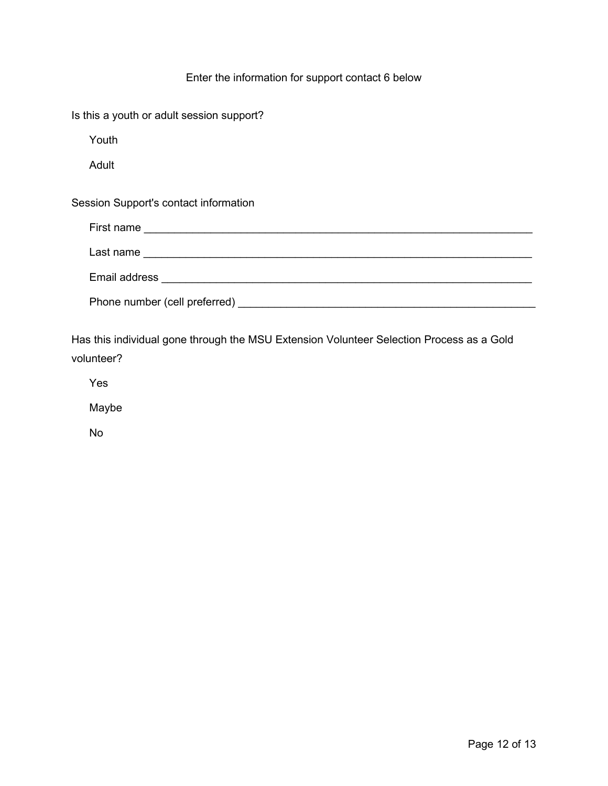## Enter the information for support contact 6 below

| Is this a youth or adult session support? |  |
|-------------------------------------------|--|
| Youth                                     |  |
| Adult                                     |  |
| Session Support's contact information     |  |
|                                           |  |
|                                           |  |
|                                           |  |
|                                           |  |

Has this individual gone through the MSU Extension Volunteer Selection Process as a Gold volunteer?

Yes

Maybe